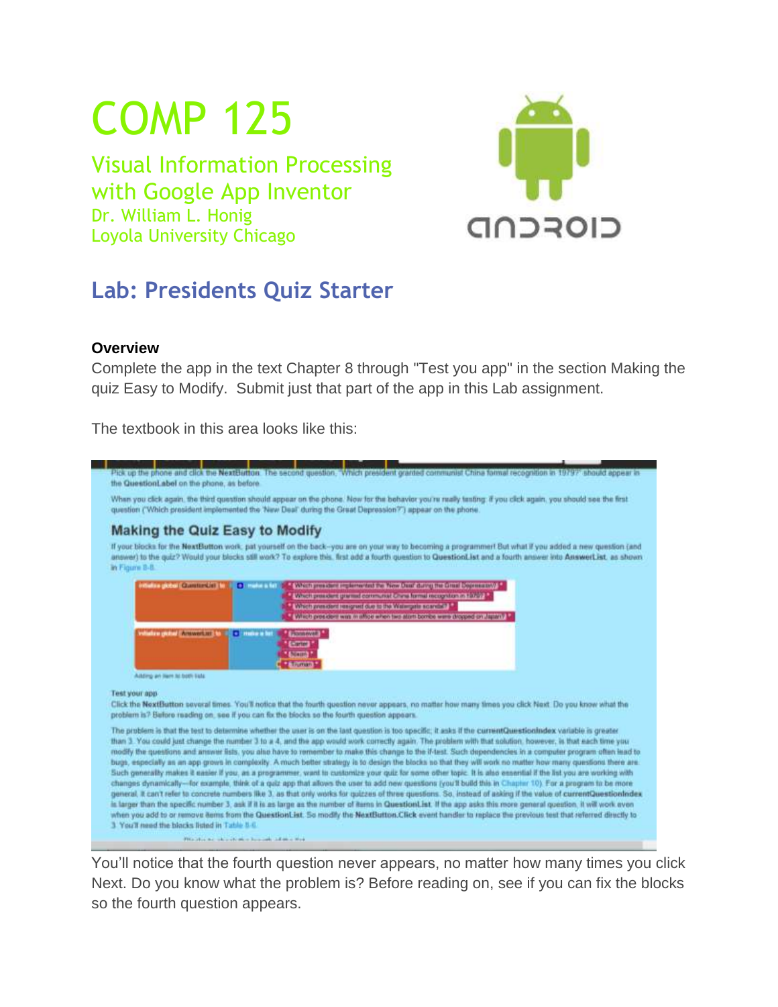# COMP 125

Visual Information Processing with Google App Inventor Dr. William L. Honig Loyola University Chicago



## **Lab: Presidents Quiz Starter**

#### **Overview**

Complete the app in the text Chapter 8 through "Test you app" in the section Making the quiz Easy to Modify. Submit just that part of the app in this Lab assignment.

The textbook in this area looks like this:



You'll notice that the fourth question never appears, no matter how many times you click Next. Do you know what the problem is? Before reading on, see if you can fix the blocks so the fourth question appears.